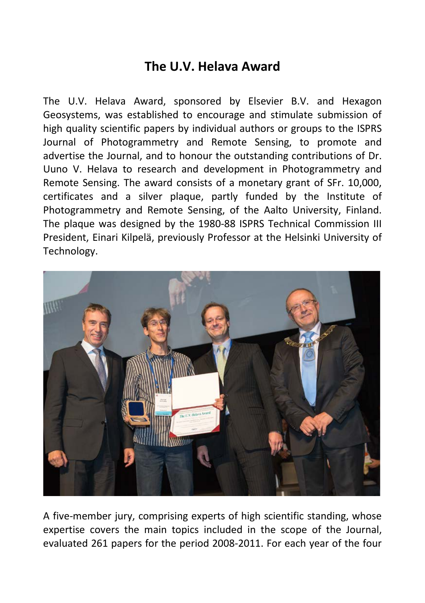## **The U.V. Helava Award**

The U.V. Helava Award, sponsored by Elsevier B.V. and Hexagon Geosystems, was established to encourage and stimulate submission of high quality scientific papers by individual authors or groups to the ISPRS Journal of Photogrammetry and Remote Sensing, to promote and advertise the Journal, and to honour the outstanding contributions of Dr. Uuno V. Helava to research and development in Photogrammetry and Remote Sensing. The award consists of a monetary grant of SFr. 10,000, certificates and a silver plaque, partly funded by the Institute of Photogrammetry and Remote Sensing, of the Aalto University, Finland. The plaque was designed by the 1980-88 ISPRS Technical Commission III President, Einari Kilpelä, previously Professor at the Helsinki University of Technology.



A five-member jury, comprising experts of high scientific standing, whose expertise covers the main topics included in the scope of the Journal, evaluated 261 papers for the period 2008-2011. For each year of the four